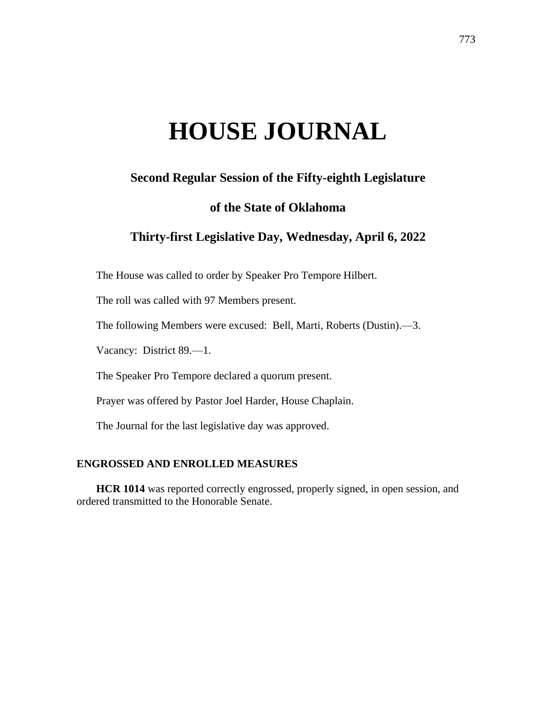# **HOUSE JOURNAL**

# **Second Regular Session of the Fifty-eighth Legislature**

## **of the State of Oklahoma**

# **Thirty-first Legislative Day, Wednesday, April 6, 2022**

The House was called to order by Speaker Pro Tempore Hilbert.

The roll was called with 97 Members present.

The following Members were excused: Bell, Marti, Roberts (Dustin).—3.

Vacancy: District 89.—1.

The Speaker Pro Tempore declared a quorum present.

Prayer was offered by Pastor Joel Harder, House Chaplain.

The Journal for the last legislative day was approved.

## **ENGROSSED AND ENROLLED MEASURES**

**HCR 1014** was reported correctly engrossed, properly signed, in open session, and ordered transmitted to the Honorable Senate.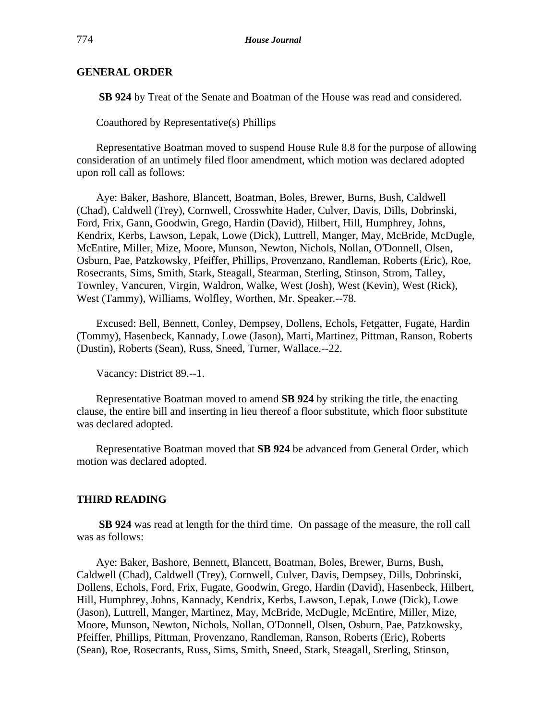#### **GENERAL ORDER**

**SB 924** by Treat of the Senate and Boatman of the House was read and considered.

Coauthored by Representative(s) Phillips

Representative Boatman moved to suspend House Rule 8.8 for the purpose of allowing consideration of an untimely filed floor amendment, which motion was declared adopted upon roll call as follows:

Aye: Baker, Bashore, Blancett, Boatman, Boles, Brewer, Burns, Bush, Caldwell (Chad), Caldwell (Trey), Cornwell, Crosswhite Hader, Culver, Davis, Dills, Dobrinski, Ford, Frix, Gann, Goodwin, Grego, Hardin (David), Hilbert, Hill, Humphrey, Johns, Kendrix, Kerbs, Lawson, Lepak, Lowe (Dick), Luttrell, Manger, May, McBride, McDugle, McEntire, Miller, Mize, Moore, Munson, Newton, Nichols, Nollan, O'Donnell, Olsen, Osburn, Pae, Patzkowsky, Pfeiffer, Phillips, Provenzano, Randleman, Roberts (Eric), Roe, Rosecrants, Sims, Smith, Stark, Steagall, Stearman, Sterling, Stinson, Strom, Talley, Townley, Vancuren, Virgin, Waldron, Walke, West (Josh), West (Kevin), West (Rick), West (Tammy), Williams, Wolfley, Worthen, Mr. Speaker.--78.

Excused: Bell, Bennett, Conley, Dempsey, Dollens, Echols, Fetgatter, Fugate, Hardin (Tommy), Hasenbeck, Kannady, Lowe (Jason), Marti, Martinez, Pittman, Ranson, Roberts (Dustin), Roberts (Sean), Russ, Sneed, Turner, Wallace.--22.

Vacancy: District 89.--1.

Representative Boatman moved to amend **SB 924** by striking the title, the enacting clause, the entire bill and inserting in lieu thereof a floor substitute, which floor substitute was declared adopted.

Representative Boatman moved that **SB 924** be advanced from General Order, which motion was declared adopted.

#### **THIRD READING**

**SB 924** was read at length for the third time. On passage of the measure, the roll call was as follows:

Aye: Baker, Bashore, Bennett, Blancett, Boatman, Boles, Brewer, Burns, Bush, Caldwell (Chad), Caldwell (Trey), Cornwell, Culver, Davis, Dempsey, Dills, Dobrinski, Dollens, Echols, Ford, Frix, Fugate, Goodwin, Grego, Hardin (David), Hasenbeck, Hilbert, Hill, Humphrey, Johns, Kannady, Kendrix, Kerbs, Lawson, Lepak, Lowe (Dick), Lowe (Jason), Luttrell, Manger, Martinez, May, McBride, McDugle, McEntire, Miller, Mize, Moore, Munson, Newton, Nichols, Nollan, O'Donnell, Olsen, Osburn, Pae, Patzkowsky, Pfeiffer, Phillips, Pittman, Provenzano, Randleman, Ranson, Roberts (Eric), Roberts (Sean), Roe, Rosecrants, Russ, Sims, Smith, Sneed, Stark, Steagall, Sterling, Stinson,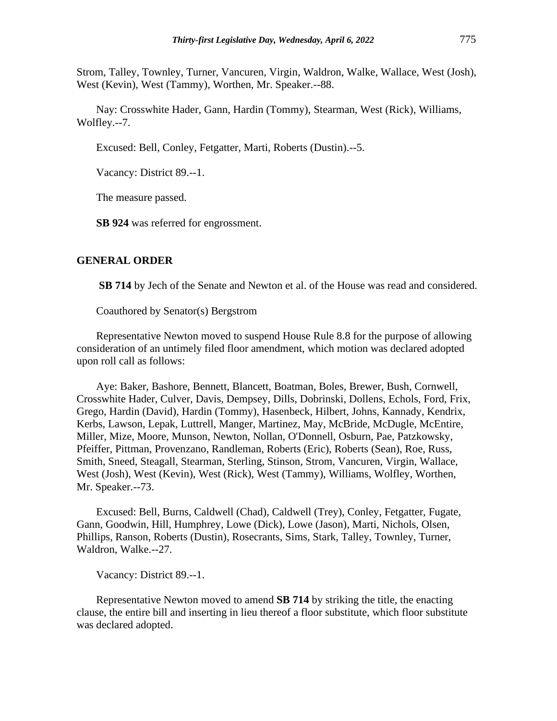Strom, Talley, Townley, Turner, Vancuren, Virgin, Waldron, Walke, Wallace, West (Josh), West (Kevin), West (Tammy), Worthen, Mr. Speaker.--88.

Nay: Crosswhite Hader, Gann, Hardin (Tommy), Stearman, West (Rick), Williams, Wolfley.--7.

Excused: Bell, Conley, Fetgatter, Marti, Roberts (Dustin).--5.

Vacancy: District 89.--1.

The measure passed.

**SB 924** was referred for engrossment.

#### **GENERAL ORDER**

**SB 714** by Jech of the Senate and Newton et al. of the House was read and considered.

Coauthored by Senator(s) Bergstrom

Representative Newton moved to suspend House Rule 8.8 for the purpose of allowing consideration of an untimely filed floor amendment, which motion was declared adopted upon roll call as follows:

Aye: Baker, Bashore, Bennett, Blancett, Boatman, Boles, Brewer, Bush, Cornwell, Crosswhite Hader, Culver, Davis, Dempsey, Dills, Dobrinski, Dollens, Echols, Ford, Frix, Grego, Hardin (David), Hardin (Tommy), Hasenbeck, Hilbert, Johns, Kannady, Kendrix, Kerbs, Lawson, Lepak, Luttrell, Manger, Martinez, May, McBride, McDugle, McEntire, Miller, Mize, Moore, Munson, Newton, Nollan, O'Donnell, Osburn, Pae, Patzkowsky, Pfeiffer, Pittman, Provenzano, Randleman, Roberts (Eric), Roberts (Sean), Roe, Russ, Smith, Sneed, Steagall, Stearman, Sterling, Stinson, Strom, Vancuren, Virgin, Wallace, West (Josh), West (Kevin), West (Rick), West (Tammy), Williams, Wolfley, Worthen, Mr. Speaker.--73.

Excused: Bell, Burns, Caldwell (Chad), Caldwell (Trey), Conley, Fetgatter, Fugate, Gann, Goodwin, Hill, Humphrey, Lowe (Dick), Lowe (Jason), Marti, Nichols, Olsen, Phillips, Ranson, Roberts (Dustin), Rosecrants, Sims, Stark, Talley, Townley, Turner, Waldron, Walke.--27.

Vacancy: District 89.--1.

Representative Newton moved to amend **SB 714** by striking the title, the enacting clause, the entire bill and inserting in lieu thereof a floor substitute, which floor substitute was declared adopted.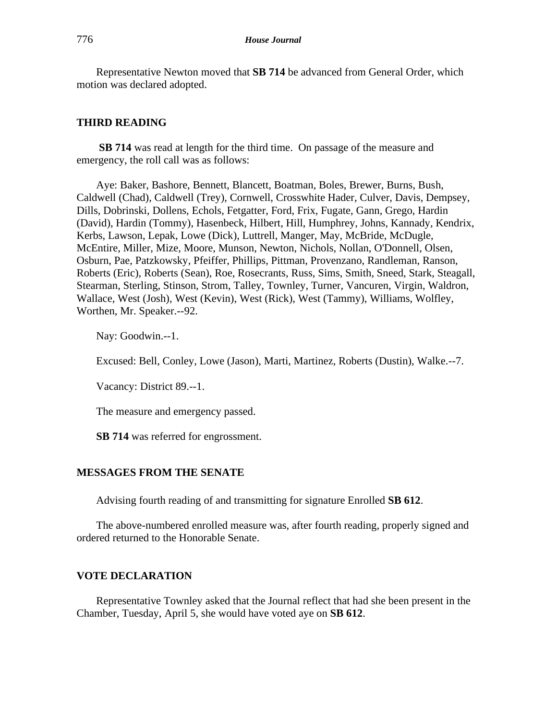Representative Newton moved that **SB 714** be advanced from General Order, which motion was declared adopted.

#### **THIRD READING**

**SB 714** was read at length for the third time. On passage of the measure and emergency, the roll call was as follows:

Aye: Baker, Bashore, Bennett, Blancett, Boatman, Boles, Brewer, Burns, Bush, Caldwell (Chad), Caldwell (Trey), Cornwell, Crosswhite Hader, Culver, Davis, Dempsey, Dills, Dobrinski, Dollens, Echols, Fetgatter, Ford, Frix, Fugate, Gann, Grego, Hardin (David), Hardin (Tommy), Hasenbeck, Hilbert, Hill, Humphrey, Johns, Kannady, Kendrix, Kerbs, Lawson, Lepak, Lowe (Dick), Luttrell, Manger, May, McBride, McDugle, McEntire, Miller, Mize, Moore, Munson, Newton, Nichols, Nollan, O'Donnell, Olsen, Osburn, Pae, Patzkowsky, Pfeiffer, Phillips, Pittman, Provenzano, Randleman, Ranson, Roberts (Eric), Roberts (Sean), Roe, Rosecrants, Russ, Sims, Smith, Sneed, Stark, Steagall, Stearman, Sterling, Stinson, Strom, Talley, Townley, Turner, Vancuren, Virgin, Waldron, Wallace, West (Josh), West (Kevin), West (Rick), West (Tammy), Williams, Wolfley, Worthen, Mr. Speaker.--92.

Nay: Goodwin.--1.

Excused: Bell, Conley, Lowe (Jason), Marti, Martinez, Roberts (Dustin), Walke.--7.

Vacancy: District 89.--1.

The measure and emergency passed.

**SB 714** was referred for engrossment.

#### **MESSAGES FROM THE SENATE**

Advising fourth reading of and transmitting for signature Enrolled **SB 612**.

The above-numbered enrolled measure was, after fourth reading, properly signed and ordered returned to the Honorable Senate.

## **VOTE DECLARATION**

Representative Townley asked that the Journal reflect that had she been present in the Chamber, Tuesday, April 5, she would have voted aye on **SB 612**.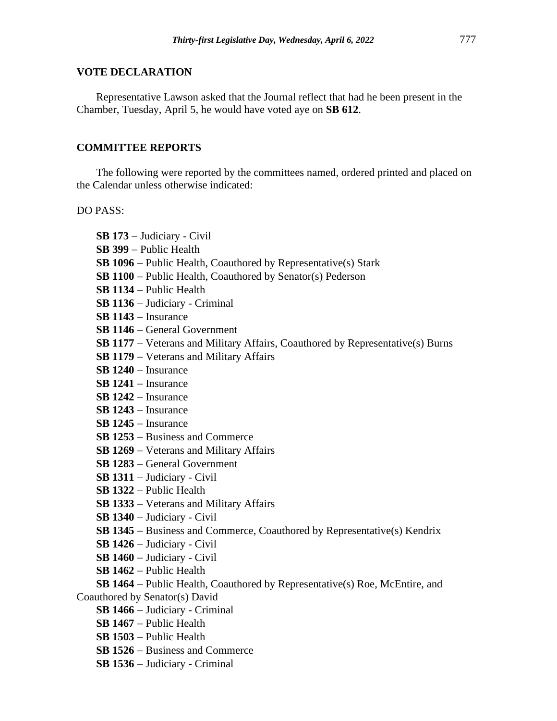#### **VOTE DECLARATION**

Representative Lawson asked that the Journal reflect that had he been present in the Chamber, Tuesday, April 5, he would have voted aye on **SB 612**.

## **COMMITTEE REPORTS**

The following were reported by the committees named, ordered printed and placed on the Calendar unless otherwise indicated:

DO PASS:

**SB 173** − Judiciary - Civil **SB 399** − Public Health **SB 1096** − Public Health, Coauthored by Representative(s) Stark **SB 1100** − Public Health, Coauthored by Senator(s) Pederson **SB 1134** − Public Health **SB 1136** − Judiciary - Criminal **SB 1143** − Insurance **SB 1146** − General Government **SB 1177** − Veterans and Military Affairs, Coauthored by Representative(s) Burns **SB 1179** − Veterans and Military Affairs **SB 1240** − Insurance **SB 1241** − Insurance **SB 1242** − Insurance **SB 1243** − Insurance **SB 1245** − Insurance **SB 1253** − Business and Commerce **SB 1269** − Veterans and Military Affairs **SB 1283** − General Government **SB 1311** − Judiciary - Civil **SB 1322** − Public Health **SB 1333** − Veterans and Military Affairs **SB 1340** − Judiciary - Civil **SB 1345** − Business and Commerce, Coauthored by Representative(s) Kendrix **SB 1426** − Judiciary - Civil **SB 1460** − Judiciary - Civil **SB 1462** − Public Health **SB 1464** − Public Health, Coauthored by Representative(s) Roe, McEntire, and Coauthored by Senator(s) David **SB 1466** − Judiciary - Criminal

- **SB 1467** − Public Health
- **SB 1503** − Public Health
- **SB 1526** − Business and Commerce
- **SB 1536** − Judiciary Criminal